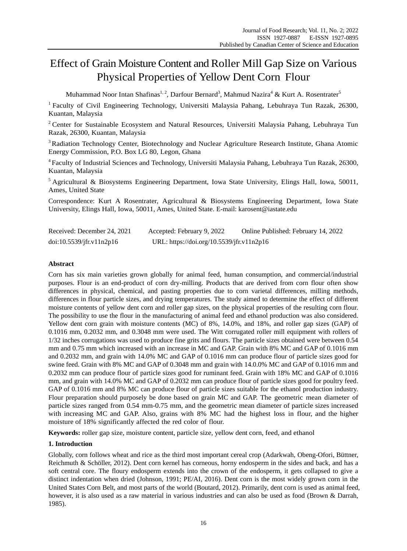# Effect of Grain Moisture Content and Roller Mill Gap Size on Various Physical Properties of Yellow Dent Corn Flour

Muhammad Noor Intan Shafinas<sup>1, 2</sup>, Darfour Bernard<sup>3</sup>, Mahmud Nazira<sup>4</sup> & Kurt A. Rosentrater<sup>5</sup>

<sup>1</sup> Faculty of Civil Engineering Technology, Universiti Malaysia Pahang, Lebuhraya Tun Razak, 26300, Kuantan, Malaysia

<sup>2</sup> Center for Sustainable Ecosystem and Natural Resources, Universiti Malaysia Pahang, Lebuhraya Tun Razak, 26300, Kuantan, Malaysia

<sup>3</sup> Radiation Technology Center, Biotechnology and Nuclear Agriculture Research Institute, Ghana Atomic Energy Commission, P.O. Box LG 80, Legon, Ghana

<sup>4</sup>Faculty of Industrial Sciences and Technology, Universiti Malaysia Pahang, Lebuhraya Tun Razak, 26300, Kuantan, Malaysia

 $<sup>5</sup>$  Agricultural & Biosystems Engineering Department, Iowa State University, Elings Hall, Iowa, 50011,</sup> Ames, United State

Correspondence: Kurt A Rosentrater, Agricultural & Biosystems Engineering Department, Iowa State University, Elings Hall, Iowa, 50011, Ames, United State. E-mail: karosent@iastate.edu

| Received: December 24, 2021    | Accepted: February 9, 2022                | Online Published: February 14, 2022 |
|--------------------------------|-------------------------------------------|-------------------------------------|
| $doi:10.5539/$ jfr.v $11n2p16$ | URL: https://doi.org/10.5539/jfr.v11n2p16 |                                     |

# **Abstract**

Corn has six main varieties grown globally for animal feed, human consumption, and commercial/industrial purposes. Flour is an end-product of corn dry-milling. Products that are derived from corn flour often show differences in physical, chemical, and pasting properties due to corn varietal differences, milling methods, differences in flour particle sizes, and drying temperatures. The study aimed to determine the effect of different moisture contents of yellow dent corn and roller gap sizes, on the physical properties of the resulting corn flour. The possibility to use the flour in the manufacturing of animal feed and ethanol production was also considered. Yellow dent corn grain with moisture contents (MC) of 8%, 14.0%, and 18%, and roller gap sizes (GAP) of 0.1016 mm, 0.2032 mm, and 0.3048 mm were used. The Witt corrugated roller mill equipment with rollers of 1/32 inches corrugations was used to produce fine grits and flours. The particle sizes obtained were between 0.54 mm and 0.75 mm which increased with an increase in MC and GAP. Grain with 8% MC and GAP of 0.1016 mm and 0.2032 mm, and grain with 14.0% MC and GAP of 0.1016 mm can produce flour of particle sizes good for swine feed. Grain with 8% MC and GAP of 0.3048 mm and grain with 14.0.0% MC and GAP of 0.1016 mm and 0.2032 mm can produce flour of particle sizes good for ruminant feed. Grain with 18% MC and GAP of 0.1016 mm, and grain with 14.0% MC and GAP of 0.2032 mm can produce flour of particle sizes good for poultry feed. GAP of 0.1016 mm and 8% MC can produce flour of particle sizes suitable for the ethanol production industry. Flour preparation should purposely be done based on grain MC and GAP. The geometric mean diameter of particle sizes ranged from 0.54 mm-0.75 mm, and the geometric mean diameter of particle sizes increased with increasing MC and GAP. Also, grains with 8% MC had the highest loss in flour, and the higher moisture of 18% significantly affected the red color of flour.

**Keywords:** roller gap size, moisture content, particle size, yellow dent corn, feed, and ethanol

## **1. Introduction**

Globally, corn follows wheat and rice as the third most important cereal crop (Adarkwah, Obeng-Ofori, Büttner, Reichmuth & Schöller, 2012). Dent corn kernel has corneous, horny endosperm in the sides and back, and has a soft central core. The floury endosperm extends into the crown of the endosperm, it gets collapsed to give a distinct indentation when dried (Johnson, 1991; PE/AI, 2016). Dent corn is the most widely grown corn in the United States Corn Belt, and most parts of the world (Boutard, 2012). Primarily, dent corn is used as animal feed, however, it is also used as a raw material in various industries and can also be used as food (Brown & Darrah, 1985).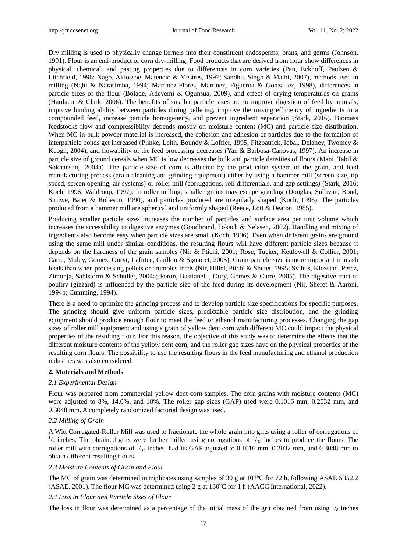Dry milling is used to physically change kernels into their constituent endosperms, brans, and germs (Johnson, 1991). Flour is an end-product of corn dry-milling. Food products that are derived from flour show differences in physical, chemical, and pasting properties due to differences in corn varieties (Pan, Eckhoff, Paulsen & Litchfield, 1996; Nago, Akiossoe, Matencio & Mestres, 1997; Sandhu, Singh & Malhi, 2007), methods used in milling (Nghi & Narasimha, 1994; Martinez-Flores, Martinez, Figueroa & Gonza-lez, 1998), differences in particle sizes of the flour (Bolade, Adeyemi & Ogunsua, 2009), and effect of drying temperatures on grains (Hardacre & Clark, 2006). The benefits of smaller particle sizes are to improve digestion of feed by animals, improve binding ability between particles during pelleting, improve the mixing efficiency of ingredients in a compounded feed, increase particle homogeneity, and prevent ingredient separation (Stark, 2016). Biomass feedstocks flow and compressibility depends mostly on moisture content (MC) and particle size distribution. When MC in bulk powder material is increased, the cohesion and adhesion of particles due to the formation of interparticle bonds get increased (Plinke, Leith, Boundy & Loffler, 1995; Fitzpatrick, Iqbal, Delaney, Twomey & Keogh, 2004), and flowability of the feed processing decreases (Yan & Barbosa-Canovas, 1997). An increase in particle size of ground cereals when MC is low decreases the bulk and particle densities of flours (Mani, Tabil & Sokhansanj, 2004a). The particle size of corn is affected by the production system of the grain, and feed manufacturing process (grain cleaning and grinding equipment) either by using a hammer mill (screen size, tip speed, screen opening, air systems) or roller mill (corrugations, roll differentials, and gap settings) (Stark, 2016; Koch, 1996; Waldroup, 1997). In roller milling, smaller grains may escape grinding (Douglas, Sullivan, Bond, Struwe, Baier & Robeson, 1990), and particles produced are irregularly shaped (Koch, 1996). The particles produced from a hammer mill are spherical and uniformly shaped (Reece, Lott & Deaton, 1985).

Producing smaller particle sizes increases the number of particles and surface area per unit volume which increases the accessibility to digestive enzymes (Goodbrand, Tokach & Nelssen, 2002). Handling and mixing of ingredients also become easy when particle sizes are small (Koch, 1996). Even when different grains are ground using the same mill under similar conditions, the resulting flours will have different particle sizes because it depends on the hardness of the grain samples (Nir & Ptichi, 2001; Rose, Tucker, Kettlewell & Collier, 2001; Carre, Muley, Gomez, Ouryt, Lafittee, Guillou & Signoret, 2005). Grain particle size is more important in mash feeds than when processing pellets or crumbles feeds (Nir, Hillel, Ptichi & Shefet, 1995; Svihus, Klozstad, Perez, Zimonja, Sahlstorm & Schuller, 2004a; Peron, Bastianelli, Oury, Gomez & Carre, 2005). The digestive tract of poultry (gizzard) is influenced by the particle size of the feed during its development (Nir, Shefet & Aaroni, 1994b; Cumming, 1994).

There is a need to optimize the grinding process and to develop particle size specifications for specific purposes. The grinding should give uniform particle sizes, predictable particle size distribution, and the grinding equipment should produce enough flour to meet the feed or ethanol manufacturing processes. Changing the gap sizes of roller mill equipment and using a grain of yellow dent corn with different MC could impact the physical properties of the resulting flour. For this reason, the objective of this study was to determine the effects that the different moisture contents of the yellow dent corn, and the roller gap sizes have on the physical properties of the resulting corn flours. The possibility to use the resulting flours in the feed manufacturing and ethanol production industries was also considered.

## **2. Materials and Methods**

## *2.1 Experimental Design*

Flour was prepared from commercial yellow dent corn samples. The corn grains with moisture contents (MC) were adjusted to 8%, 14.0%, and 18%. The roller gap sizes (GAP) used were 0.1016 mm, 0.2032 mm, and 0.3048 mm. A completely randomized factorial design was used.

## *2.2 Milling of Grain*

A Witt Corrugated-Roller Mill was used to fractionate the whole grain into grits using a roller of corrugations of  $\frac{1}{8}$  inches. The obtained grits were further milled using corrugations of  $\frac{1}{32}$  inches to produce the flours. The roller mill with corrugations of  $\frac{1}{32}$  inches, had its GAP adjusted to 0.1016 mm, 0.2032 mm, and 0.3048 mm to obtain different resulting flours.

## *2.3 Moisture Contents of Grain and Flour*

The MC of grain was determined in triplicates using samples of 30 g at 103  $\degree$  for 72 h, following ASAE S352.2 (ASAE, 2001). The flour MC was determined using 2 g at  $130^{\circ}$ C for 1 h (AACC International, 2022).

## *2.4 Loss in Flour and Particle Sizes of Flour*

The loss in flour was determined as a percentage of the initial mass of the grit obtained from using  $\frac{1}{8}$  inches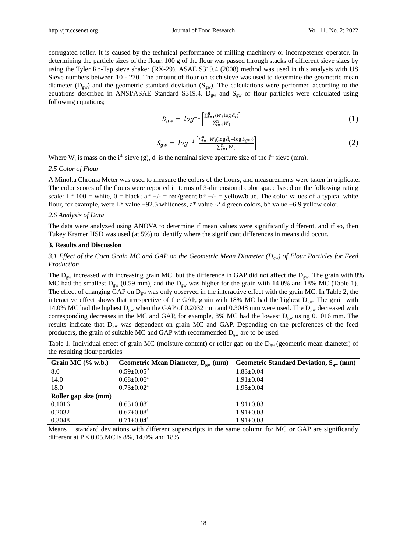corrugated roller. It is caused by the technical performance of milling machinery or incompetence operator. In determining the particle sizes of the flour, 100 g of the flour was passed through stacks of different sieve sizes by using the Tyler Ro-Tap sieve shaker (RX-29). ASAE S319.4 (2008) method was used in this analysis with US Sieve numbers between 10 - 270. The amount of flour on each sieve was used to determine the geometric mean diameter ( $D_{\text{gw}}$ ) and the geometric standard deviation ( $S_{\text{gw}}$ ). The calculations were performed according to the equations described in ANSI/ASAE Standard S319.4.  $D_{gw}$  and  $S_{gw}$  of flour particles were calculated using following equations;

$$
D_{gw} = \log^{-1}\left[\frac{\sum_{i=1}^{n}(W_i \log \bar{d}_i)}{\sum_{i=1}^{n}W_i}\right]
$$
 (1)

$$
S_{gw} = \log^{-1} \left[ \frac{\sum_{i=1}^{n} W_i(\log \bar{d}_i - \log D_{gw})}{\sum_{i=1}^{n} W_i} \right]
$$
 (2)

Where  $W_i$  is mass on the i<sup>th</sup> sieve (g),  $d_i$  is the nominal sieve aperture size of the i<sup>th</sup> sieve (mm).

#### *2.5 Color of Flour*

A Minolta Chroma Meter was used to measure the colors of the flours, and measurements were taken in triplicate. The color scores of the flours were reported in terms of 3-dimensional color space based on the following rating scale: L\* 100 = white, 0 = black; a\*  $+\prime$  = red/green; b\*  $+\prime$  = yellow/blue. The color values of a typical white flour, for example, were L\* value +92.5 whiteness, a\* value -2.4 green colors, b\* value +6.9 yellow color.

#### *2.6 Analysis of Data*

The data were analyzed using ANOVA to determine if mean values were significantly different, and if so, then Tukey Kramer HSD was used (at 5%) to identify where the significant differences in means did occur.

#### **3. Results and Discussion**

## *3.1 Effect of the Corn Grain MC and GAP on the Geometric Mean Diameter (Dgw) of Flour Particles for Feed Production*

The  $D_{gw}$  increased with increasing grain MC, but the difference in GAP did not affect the  $D_{gw}$ . The grain with 8% MC had the smallest  $D_{gw}$  (0.59 mm), and the  $D_{gw}$  was higher for the grain with 14.0% and 18% MC (Table 1). The effect of changing GAP on  $D_{gw}$  was only observed in the interactive effect with the grain MC. In Table 2, the interactive effect shows that irrespective of the GAP, grain with 18% MC had the highest  $D_{gw}$ . The grain with 14.0% MC had the highest  $D_{gw}$  when the GAP of 0.2032 mm and 0.3048 mm were used. The  $D_{gw}$  decreased with corresponding decreases in the MC and GAP, for example, 8% MC had the lowest  $D_{gw}$  using 0.1016 mm. The results indicate that Dgw was dependent on grain MC and GAP. Depending on the preferences of the feed producers, the grain of suitable MC and GAP with recommended  $D_{gw}$  are to be used.

Table 1. Individual effect of grain MC (moisture content) or roller gap on the  $D_{gw}$  (geometric mean diameter) of the resulting flour particles

| Grain MC $(\%$ w.b.) | Geometric Mean Diameter, $D_{\text{sw}}$ (mm) | Geometric Standard Deviation, $S_{\rm sw}$ (mm) |
|----------------------|-----------------------------------------------|-------------------------------------------------|
| 8.0                  | $0.59 \pm 0.05^b$                             | $1.83 + 0.04$                                   |
| 14.0                 | $0.68 \pm 0.06^a$                             | $1.91 + 0.04$                                   |
| 18.0                 | $0.73 \pm 0.02^{\text{a}}$                    | $1.95 \pm 0.04$                                 |
| Roller gap size (mm) |                                               |                                                 |
| 0.1016               | $0.63 \pm 0.08^{\text{a}}$                    | $1.91 + 0.03$                                   |
| 0.2032               | $0.67 \pm 0.08^{\text{a}}$                    | $1.91 + 0.03$                                   |
| 0.3048               | $0.71 \pm 0.04^{\text{a}}$                    | $1.91 + 0.03$                                   |

Means  $\pm$  standard deviations with different superscripts in the same column for MC or GAP are significantly different at  $P < 0.05$ . MC is 8%, 14.0% and 18%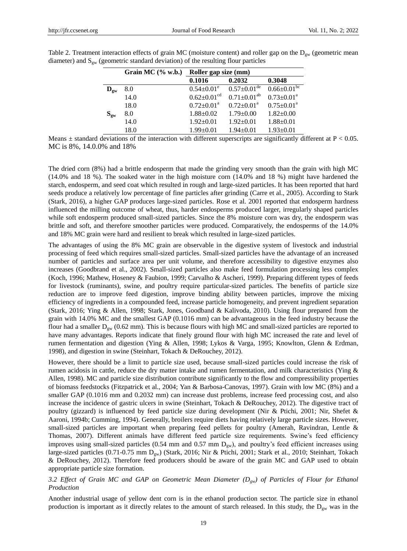|                          | Grain MC $(\%$ w.b.) | Roller gap size (mm)          |                               |                                 |
|--------------------------|----------------------|-------------------------------|-------------------------------|---------------------------------|
|                          |                      | 0.1016                        | 0.2032                        | 0.3048                          |
| $\mathbf{D}_{\text{gw}}$ | 8.0                  | $0.54 \pm 0.01^e$             | $0.57 \pm 0.01$ <sup>de</sup> | $0.66 \pm 0.01^{\overline{bc}}$ |
|                          | 14.0                 | $0.62 \pm 0.01$ <sup>cd</sup> | $0.71 \pm 0.01^{ab}$          | $0.73 \pm 0.01^a$               |
|                          | 18.0                 | $0.72 \pm 0.01^{\text{a}}$    | $0.72 \pm 0.01^{\text{a}}$    | $0.75 \pm 0.01^a$               |
| $S_{gw}$                 | 8.0                  | $1.88 + 0.02$                 | $1.79 - 0.00$                 | $1.82 + 0.00$                   |
|                          | 14.0                 | $1.92 + 0.01$                 | $1.92 \pm 0.01$               | $1.88 + 0.01$                   |
|                          | 18.0                 | $1.99 + 0.01$                 | $1.94 \pm 0.01$               | $1.93 \pm 0.01$                 |

Table 2. Treatment interaction effects of grain MC (moisture content) and roller gap on the  $D_{vw}$  (geometric mean diameter) and  $S_{gw}$  (geometric standard deviation) of the resulting flour particles

Means  $\pm$  standard deviations of the interaction with different superscripts are significantly different at P < 0.05. MC is 8%, 14.0.0% and 18%

The dried corn (8%) had a brittle endosperm that made the grinding very smooth than the grain with high MC (14.0% and 18 %). The soaked water in the high moisture corn (14.0% and 18 %) might have hardened the starch, endosperm, and seed coat which resulted in rough and large-sized particles. It has been reported that hard seeds produce a relatively low percentage of fine particles after grinding (Carre et al., 2005). According to Stark (Stark, 2016), a higher GAP produces large-sized particles. Rose et al. 2001 reported that endosperm hardness influenced the milling outcome of wheat, thus, harder endosperms produced larger, irregularly shaped particles while soft endosperm produced small-sized particles. Since the 8% moisture corn was dry, the endosperm was brittle and soft, and therefore smoother particles were produced. Comparatively, the endosperms of the 14.0% and 18% MC grain were hard and resilient to break which resulted in large-sized particles.

The advantages of using the 8% MC grain are observable in the digestive system of livestock and industrial processing of feed which requires small-sized particles. Small-sized particles have the advantage of an increased number of particles and surface area per unit volume, and therefore accessibility to digestive enzymes also increases (Goodbrand et al., 2002). Small-sized particles also make feed formulation processing less complex (Koch, 1996; Mathew, Hoseney & Faubion, 1999; Carvalho & Ascheri, 1999). Preparing different types of feeds for livestock (ruminants), swine, and poultry require particular-sized particles. The benefits of particle size reduction are to improve feed digestion, improve binding ability between particles, improve the mixing efficiency of ingredients in a compounded feed, increase particle homogeneity, and prevent ingredient separation (Stark, 2016; Ying & Allen, 1998; Stark, Jones, Goodband & Kalivoda, 2010). Using flour prepared from the grain with 14.0% MC and the smallest GAP (0.1016 mm) can be advantageous in the feed industry because the flour had a smaller  $D_{gw}$  (0.62 mm). This is because flours with high MC and small-sized particles are reported to have many advantages. Reports indicate that finely ground flour with high MC increased the rate and level of rumen fermentation and digestion (Ying & Allen, 1998; Lykos & Varga, 1995; Knowlton, Glenn & Erdman, 1998), and digestion in swine (Steinhart, Tokach & DeRouchey, 2012).

However, there should be a limit to particle size used, because small-sized particles could increase the risk of rumen acidosis in cattle, reduce the dry matter intake and rumen fermentation, and milk characteristics (Ying & Allen, 1998). MC and particle size distribution contribute significantly to the flow and compressibility properties of biomass feedstocks (Fitzpatrick et al., 2004; Yan & Barbosa-Canovas, 1997). Grain with low MC (8%) and a smaller GAP (0.1016 mm and 0.2032 mm) can increase dust problems, increase feed processing cost, and also increase the incidence of gastric ulcers in swine (Steinhart, Tokach & DeRouchey, 2012). The digestive tract of poultry (gizzard) is influenced by feed particle size during development (Nir & Ptichi, 2001; Nir, Shefet & Aaroni, 1994b; Cumming, 1994). Generally, broilers require diets having relatively large particle sizes. However, small-sized particles are important when preparing feed pellets for poultry (Amerah, Ravindran, Lentle & Thomas, 2007). Different animals have different feed particle size requirements. Swine's feed efficiency improves using small-sized particles (0.54 mm and 0.57 mm  $D_{gw}$ ), and poultry's feed efficient increases using large-sized particles (0.71-0.75 mm Dgw) (Stark, 2016; Nir & Ptichi, 2001; Stark et al., 2010; Steinhart, Tokach & DeRouchey, 2012). Therefore feed producers should be aware of the grain MC and GAP used to obtain appropriate particle size formation.

# *3.2 Effect of Grain MC and GAP on Geometric Mean Diameter (Dgw) of Particles of Flour for Ethanol Production*

Another industrial usage of yellow dent corn is in the ethanol production sector. The particle size in ethanol production is important as it directly relates to the amount of starch released. In this study, the  $D_{gw}$  was in the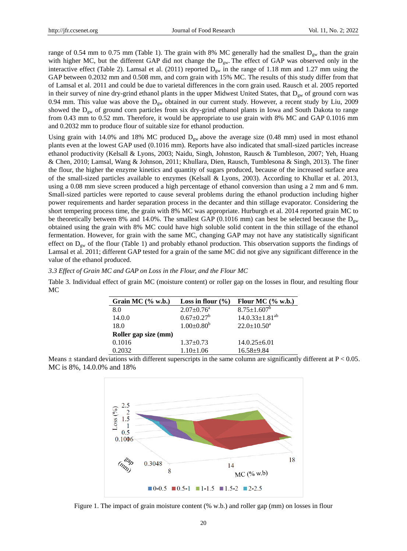range of 0.54 mm to 0.75 mm (Table 1). The grain with 8% MC generally had the smallest  $D_{\text{sw}}$  than the grain with higher MC, but the different GAP did not change the  $D_{gw}$ . The effect of GAP was observed only in the interactive effect (Table 2). Lamsal et al. (2011) reported  $D_{ow}$  in the range of 1.18 mm and 1.27 mm using the GAP between 0.2032 mm and 0.508 mm, and corn grain with 15% MC. The results of this study differ from that of Lamsal et al. 2011 and could be due to varietal differences in the corn grain used. Rausch et al. 2005 reported in their survey of nine dry-grind ethanol plants in the upper Midwest United States, that  $D_{gw}$  of ground corn was 0.94 mm. This value was above the  $D_{gw}$  obtained in our current study. However, a recent study by Liu, 2009 showed the  $D_{gw}$  of ground corn particles from six dry-grind ethanol plants in Iowa and South Dakota to range from 0.43 mm to 0.52 mm. Therefore, it would be appropriate to use grain with 8% MC and GAP 0.1016 mm and 0.2032 mm to produce flour of suitable size for ethanol production.

Using grain with 14.0% and 18% MC produced  $D_{gw}$  above the average size (0.48 mm) used in most ethanol plants even at the lowest GAP used (0.1016 mm). Reports have also indicated that small-sized particles increase ethanol productivity (Kelsall & Lyons, 2003; Naidu, Singh, Johnston, Rausch & Tumbleson, 2007; Yeh, Huang & Chen, 2010; Lamsal, Wang & Johnson, 2011; Khullara, Dien, Rausch, Tumblesona & Singh, 2013). The finer the flour, the higher the enzyme kinetics and quantity of sugars produced, because of the increased surface area of the small-sized particles available to enzymes (Kelsall & Lyons, 2003). According to Khullar et al. 2013, using a 0.08 mm sieve screen produced a high percentage of ethanol conversion than using a 2 mm and 6 mm. Small-sized particles were reported to cause several problems during the ethanol production including higher power requirements and harder separation process in the decanter and thin stillage evaporator. Considering the short tempering process time, the grain with 8% MC was appropriate. Hurburgh et al. 2014 reported grain MC to be theoretically between 8% and 14.0%. The smallest GAP (0.1016 mm) can best be selected because the  $D_{gw}$ obtained using the grain with 8% MC could have high soluble solid content in the thin stillage of the ethanol fermentation. However, for grain with the same MC, changing GAP may not have any statistically significant effect on  $D_{gw}$  of the flour (Table 1) and probably ethanol production. This observation supports the findings of Lamsal et al. 2011; different GAP tested for a grain of the same MC did not give any significant difference in the value of the ethanol produced.

#### *3.3 Effect of Grain MC and GAP on Loss in the Flour, and the Flour MC*

Table 3. Individual effect of grain MC (moisture content) or roller gap on the losses in flour, and resulting flour MC

| Grain MC (% w.b.)    | Loss in flour $(\% )$ | Flour MC $(\%$ w.b.)    |
|----------------------|-----------------------|-------------------------|
| 8.0                  | $2.07 \pm 0.76^a$     | $8.75 \pm 1.607^b$      |
| 14.0.0               | $0.67 \pm 0.27^b$     | $14.0.33 \pm 1.81^{ab}$ |
| 18.0                 | $1.00 \pm 0.80^b$     | $22.0 \pm 10.50^a$      |
| Roller gap size (mm) |                       |                         |
| 0.1016               | $1.37 + 0.73$         | $14.0.25 \pm 6.01$      |
| 0.2032               | $1.10 \pm 1.06$       | $16.58 + 9.84$          |





Figure 1. The impact of grain moisture content (% w.b.) and roller gap (mm) on losses in flour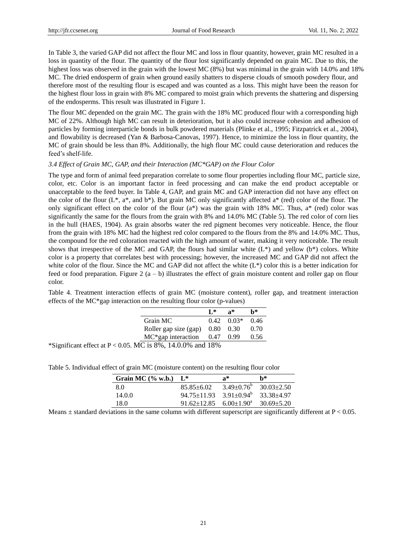In Table 3, the varied GAP did not affect the flour MC and loss in flour quantity, however, grain MC resulted in a loss in quantity of the flour. The quantity of the flour lost significantly depended on grain MC. Due to this, the highest loss was observed in the grain with the lowest MC (8%) but was minimal in the grain with 14.0% and 18% MC. The dried endosperm of grain when ground easily shatters to disperse clouds of smooth powdery flour, and therefore most of the resulting flour is escaped and was counted as a loss. This might have been the reason for the highest flour loss in grain with 8% MC compared to moist grain which prevents the shattering and dispersing of the endosperms. This result was illustrated in Figure 1.

The flour MC depended on the grain MC. The grain with the 18% MC produced flour with a corresponding high MC of 22%. Although high MC can result in deterioration, but it also could increase cohesion and adhesion of particles by forming interparticle bonds in bulk powdered materials (Plinke et al., 1995; Fitzpatrick et al., 2004), and flowability is decreased (Yan & Barbosa-Canovas, 1997). Hence, to minimize the loss in flour quantity, the MC of grain should be less than 8%. Additionally, the high flour MC could cause deterioration and reduces the feed's shelf-life.

#### *3.4 Effect of Grain MC, GAP, and their Interaction (MC\*GAP) on the Flour Color*

The type and form of animal feed preparation correlate to some flour properties including flour MC, particle size, color, etc. Color is an important factor in feed processing and can make the end product acceptable or unacceptable to the feed buyer. In Table 4, GAP, and grain MC and GAP interaction did not have any effect on the color of the flour  $(L^*, a^*,$  and  $b^*$ ). But grain MC only significantly affected  $a^*$  (red) color of the flour. The only significant effect on the color of the flour  $(a^*)$  was the grain with 18% MC. Thus,  $a^*$  (red) color was significantly the same for the flours from the grain with 8% and 14.0% MC (Table 5). The red color of corn lies in the hull (HAES, 1904). As grain absorbs water the red pigment becomes very noticeable. Hence, the flour from the grain with 18% MC had the highest red color compared to the flours from the 8% and 14.0% MC. Thus, the compound for the red coloration reacted with the high amount of water, making it very noticeable. The result shows that irrespective of the MC and GAP, the flours had similar white  $(L^*)$  and yellow (b\*) colors. White color is a property that correlates best with processing; however, the increased MC and GAP did not affect the white color of the flour. Since the MC and GAP did not affect the white  $(L^*)$  color this is a better indication for feed or food preparation. Figure 2  $(a - b)$  illustrates the effect of grain moisture content and roller gap on flour color.

Table 4. Treatment interaction effects of grain MC (moisture content), roller gap, and treatment interaction effects of the MC\*gap interaction on the resulting flour color (p-values)

|                                                                                                                                                                                     |                                   | $\mathbf{I}^*$ | ี ค*                          | h*   |
|-------------------------------------------------------------------------------------------------------------------------------------------------------------------------------------|-----------------------------------|----------------|-------------------------------|------|
|                                                                                                                                                                                     | Grain MC                          |                | $0.42 \quad 0.03* \quad 0.46$ |      |
|                                                                                                                                                                                     | Roller gap size (gap) $0.80$ 0.30 |                |                               | 0.70 |
|                                                                                                                                                                                     | $MC*$ gap interaction 0.47 0.99   |                |                               | 0.56 |
| $*$ C; $\ldots$ ; $\ldots$ $\ldots$ $\ldots$ $\ldots$ $\ldots$ $\ldots$ $\ldots$ $\ldots$ $\ldots$ $\ldots$ $\ldots$ $\ldots$ $\ldots$ $\ldots$ $\ldots$ $\ldots$ $\ldots$ $\ldots$ |                                   |                |                               |      |

\*Significant effect at P < 0.05. MC is 8%, 14.0.0% and 18%

|  |  | Table 5. Individual effect of grain MC (moisture content) on the resulting flour color |
|--|--|----------------------------------------------------------------------------------------|
|  |  |                                                                                        |

| Grain MC $(\%$ w.b.) | $\mathbf{L}^*$                  | а*              | h*             |
|----------------------|---------------------------------|-----------------|----------------|
| 8.0                  | $85.85 + 6.02$                  | $3.49 + 0.76^b$ | $30.03 + 2.50$ |
| 14.0.0               | $94.75 \pm 11.93$               | $3.91 + 0.94^b$ | 33.38+4.97     |
| 18.0                 | $91.62 + 12.85$ $6.00 + 1.90^4$ |                 | $30.69 + 5.20$ |

Means  $\pm$  standard deviations in the same column with different superscript are significantly different at P < 0.05.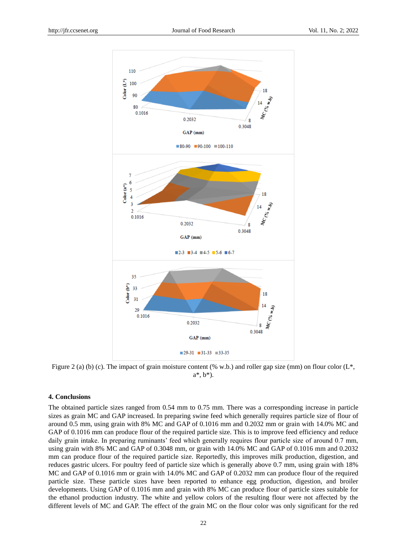

Figure 2 (a) (b) (c). The impact of grain moisture content (% w.b.) and roller gap size (mm) on flour color (L<sup>\*</sup>, a\*, b\*).

# **4. Conclusions**

The obtained particle sizes ranged from 0.54 mm to 0.75 mm. There was a corresponding increase in particle sizes as grain MC and GAP increased. In preparing swine feed which generally requires particle size of flour of around 0.5 mm, using grain with 8% MC and GAP of 0.1016 mm and 0.2032 mm or grain with 14.0% MC and GAP of 0.1016 mm can produce flour of the required particle size. This is to improve feed efficiency and reduce daily grain intake. In preparing ruminants' feed which generally requires flour particle size of around 0.7 mm, using grain with 8% MC and GAP of 0.3048 mm, or grain with 14.0% MC and GAP of 0.1016 mm and 0.2032 mm can produce flour of the required particle size. Reportedly, this improves milk production, digestion, and reduces gastric ulcers. For poultry feed of particle size which is generally above 0.7 mm, using grain with 18% MC and GAP of 0.1016 mm or grain with 14.0% MC and GAP of 0.2032 mm can produce flour of the required particle size. These particle sizes have been reported to enhance egg production, digestion, and broiler developments. Using GAP of 0.1016 mm and grain with 8% MC can produce flour of particle sizes suitable for the ethanol production industry. The white and yellow colors of the resulting flour were not affected by the different levels of MC and GAP. The effect of the grain MC on the flour color was only significant for the red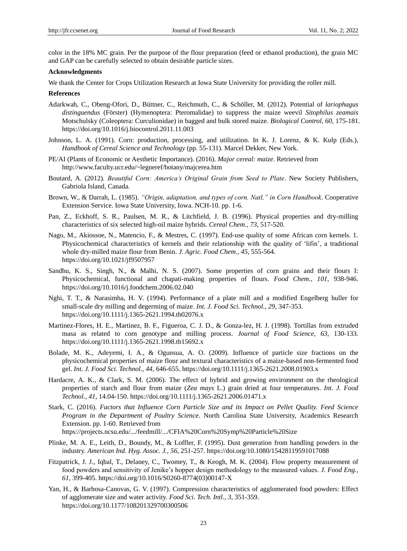color in the 18% MC grain. Per the purpose of the flour preparation (feed or ethanol production), the grain MC and GAP can be carefully selected to obtain desirable particle sizes.

#### **Acknowledgments**

We thank the Center for Crops Utilization Research at Iowa State University for providing the roller mill.

#### **References**

- Adarkwah, C., Obeng-Ofori, D., Büttner, C., Reichmuth, C., & Schöller, M. (2012). Potential of *lariophagus distinguendus* (Förster) (Hymenoptera: Pteromalidae) to suppress the maize weevil *Sitophilus zeamais* Motschulsky (Coleoptera: Curculionidae) in bagged and bulk stored maize. *Biological Control, 60*, 175-181. https://doi.org/10.1016/j.biocontrol.2011.11.003
- Johnson, L. A. (1991). Corn: production, processing, and utilization. In K. J. Lorenz, & K. Kulp (Eds.), *Handbook of Cereal Science and Technology* (pp. 55-131). Marcel Dekker, New York.
- PE/AI (Plants of Economic or Aesthetic Importance). (2016). *Major cereal: maize*. Retrieved from <http://www.faculty.ucr.edu/~legneref/botany/majcerea.htm>
- Boutard, A. (2012). *Beautiful Corn: America's Original Grain from Seed to Plate*. New Society Publishers, Gabriola Island, Canada.
- Brown, W., & Darrah, L. (1985). *"Origin, adaptation, and types of corn. Natl," in Corn Handbook*. Cooperative Extension Service. Iowa State University, Iowa. NCH-10. pp. 1-6.
- Pan, Z., Eckhoff, S. R., Paulsen, M. R., & Litchfield, J. B. (1996). Physical properties and dry-milling characteristics of six selected high-oil maize hybrids. *Cereal Chem., 73*, 517-520.
- Nago, M., Akiossoe, N., Matencio, F., & Mestres, C. (1997). End-use quality of some African corn kernels. 1. Physicochemical characteristics of kernels and their relationship with the quality of 'lifin', a traditional whole dry-milled maize flour from Benin. *J. Agric. Food Chem., 45*, 555-564. https://doi.org/10.1021/jf9507957
- Sandhu, K. S., Singh, N., & Malhi, N. S. (2007). Some properties of corn grains and their flours I: Physicochemical, functional and chapati-making properties of flours. *Food Chem., 101*, 938-946. https://doi.org/10.1016/j.foodchem.2006.02.040
- Nghi, T. T., & Narasimha, H. V. (1994). Performance of a plate mill and a modified Engelberg huller for small-scale dry milling and degerming of maize. *Int. J. Food Sci. Technol., 29*, 347-353. https://doi.org/10.1111/j.1365-2621.1994.tb02076.x
- Martinez-Flores, H. E., Martinez, B. F., Figueroa, C. J. D., & Gonza-lez, H. J. (1998). Tortillas from extruded masa as related to corn genotype and milling process. *Journal of Food Science, 63*, 130-133. https://doi.org/10.1111/j.1365-2621.1998.tb15692.x
- Bolade, M. K., Adeyemi, I. A., & Ogunsua, A. O. (2009). Influence of particle size fractions on the physicochemical properties of maize flour and textural characteristics of a maize-based non-fermented food gel. *Int. J. Food Sci. Technol., 44*, 646-655. https://doi.org/10.1111/j.1365-2621.2008.01903.x
- Hardacre, A. K., & Clark, S. M. (2006). The effect of hybrid and growing environment on the rheological properties of starch and flour from maize (*Zea mays* L.) grain dried at four temperatures. *Int. J. Food Technol., 41*, 14.04-150. https://doi.org/10.1111/j.1365-2621.2006.01471.x
- Stark, C. (2016). *Factors that Influence Corn Particle Size and its Impact on Pellet Quality. Feed Science Program in the Department of Poultry Science*. North Carolina State University, Academics Research Extension. pp. 1-60. Retrieved from https://projects.ncsu.edu/.../feedmill/.../CFIA%20Corn%20Symp%20Particle%20Size
- Plinke, M. A. E., Leith, D., Boundy, M., & Loffler, F. (1995). Dust generation from handling powders in the industry. *American Ind. Hyg. Assoc. J., 56*, 251-257. https://doi.org/10.1080/15428119591017088
- Fitzpatrick, J. J., Iqbal, T., Delaney, C., Twomey, T., & Keogh, M. K. (2004). Flow property measurement of food powders and sensitivity of Jenike's hopper design methodology to the measured values. *J. Food Eng., 61*, 399-405. https://doi.org/10.1016/S0260-8774(03)00147-X
- Yan, H., & Barbosa-Canovas, G. V. (1997). Compression characteristics of agglomerated food powders: Effect of agglomerate size and water activity. *Food Sci. Tech. Intl., 3*, 351-359. https://doi.org/10.1177/108201329700300506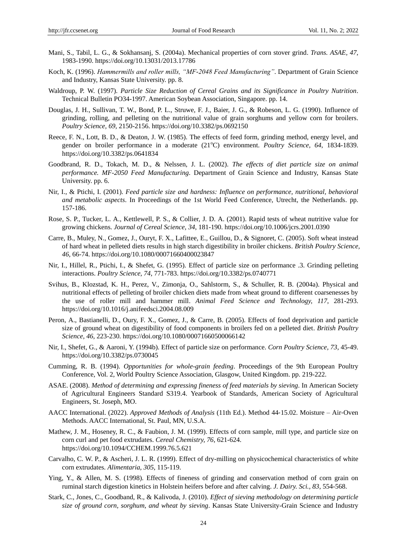- Mani, S., Tabil, L. G., & Sokhansanj, S. (2004a). Mechanical properties of corn stover grind. *Trans. ASAE, 47*, 1983-1990. https://doi.org/10.13031/2013.17786
- Koch, K. (1996). *Hammermills and roller mills, "MF-2048 Feed Manufacturing"*. Department of Grain Science and Industry, Kansas State University. pp. 8.
- Waldroup, P. W. (1997). *Particle Size Reduction of Cereal Grains and its Significance in Poultry Nutrition*. Technical Bulletin PO34-1997. American Soybean Association, Singapore. pp. 14.
- Douglas, J. H., Sullivan, T. W., Bond, P. L., Struwe, F. J., Baier, J. G., & Robeson, L. G. (1990). Influence of grinding, rolling, and pelleting on the nutritional value of grain sorghums and yellow corn for broilers. *Poultry Science, 69*, 2150-2156. https://doi.org/10.3382/ps.0692150
- Reece, F. N., Lott, B. D., & Deaton, J. W. (1985). The effects of feed form, grinding method, energy level, and gender on broiler performance in a moderate (21<sup>o</sup>C) environment. *Poultry Science*, 64, 1834-1839. https://doi.org/10.3382/ps.0641834
- Goodbrand, R. D., Tokach, M. D., & Nelssen, J. L. (2002). *The effects of diet particle size on animal performance. MF-2050 Feed Manufacturing*. Department of Grain Science and Industry, Kansas State University. pp. 6.
- Nir, I., & Ptichi, I. (2001). *Feed particle size and hardness: Influence on performance, nutritional, behavioral and metabolic aspects*. In Proceedings of the 1st World Feed Conference, Utrecht, the Netherlands. pp. 157-186.
- Rose, S. P., Tucker, L. A., Kettlewell, P. S., & Collier, J. D. A. (2001). Rapid tests of wheat nutritive value for growing chickens. *Journal of Cereal Science, 34*, 181-190. https://doi.org/10.1006/jcrs.2001.0390
- Carre, B., Muley, N., Gomez, J., Ouryt, F. X., Lafittee, E., Guillou, D., & Signoret, C. (2005). Soft wheat instead of hard wheat in pelleted diets results in high starch digestibility in broiler chickens. *British Poultry Science, 46*, 66-74. https://doi.org/10.1080/00071660400023847
- Nir, I., Hillel, R., Ptichi, I., & Shefet, G. (1995). Effect of particle size on performance .3. Grinding pelleting interactions. *Poultry Science, 74*, 771-783. https://doi.org/10.3382/ps.0740771
- Svihus, B., Klozstad, K. H., Perez, V., Zimonja, O., Sahlstorm, S., & Schuller, R. B. (2004a). Physical and nutritional effects of pelleting of broiler chicken diets made from wheat ground to different coarsenesses by the use of roller mill and hammer mill. *Animal Feed Science and Technology, 117*, 281-293. https://doi.org/10.1016/j.anifeedsci.2004.08.009
- Peron, A., Bastianelli, D., Oury, F. X., Gomez, J., & Carre, B. (2005). Effects of food deprivation and particle size of ground wheat on digestibility of food components in broilers fed on a pelleted diet. *British Poultry Science, 46*, 223-230. https://doi.org/10.1080/00071660500066142
- Nir, I., Shefet, G., & Aaroni, Y. (1994b). Effect of particle size on performance. *Corn Poultry Science, 73*, 45-49. https://doi.org/10.3382/ps.0730045
- Cumming, R. B. (1994). *Opportunities for whole-grain feeding*. Proceedings of the 9th European Poultry Conference, Vol. 2, World Poultry Science Association, Glasgow, United Kingdom. pp. 219-222.
- ASAE. (2008). *Method of determining and expressing fineness of feed materials by sieving.* In American Society of Agricultural Engineers Standard S319.4. Yearbook of Standards, American Society of Agricultural Engineers, St. Joseph, MO.
- AACC International. (2022). *Approved Methods of Analysis* (11th Ed.). Method 44‐15.02. Moisture Air‐Oven Methods. AACC International, St. Paul, MN, U.S.A.
- Mathew, J. M., Hoseney, R. C., & Faubion, J. M. (1999). Effects of corn sample, mill type, and particle size on corn curl and pet food extrudates. *Cereal Chemistry, 76*, 621-624. https://doi.org/10.1094/CCHEM.1999.76.5.621
- Carvalho, C. W. P., & Ascheri, J. L. R. (1999). Effect of dry-milling on physicochemical characteristics of white corn extrudates. *Alimentaria, 305*, 115-119.
- Ying, Y., & Allen, M. S. (1998). Effects of fineness of grinding and conservation method of corn grain on ruminal starch digestion kinetics in Holstein heifers before and after calving. *J. Dairy. Sci., 83*, 554-568.
- Stark, C., Jones, C., Goodband, R., & Kalivoda, J. (2010). *Effect of sieving methodology on determining particle size of ground corn, sorghum, and wheat by sieving*. Kansas State University-Grain Science and Industry